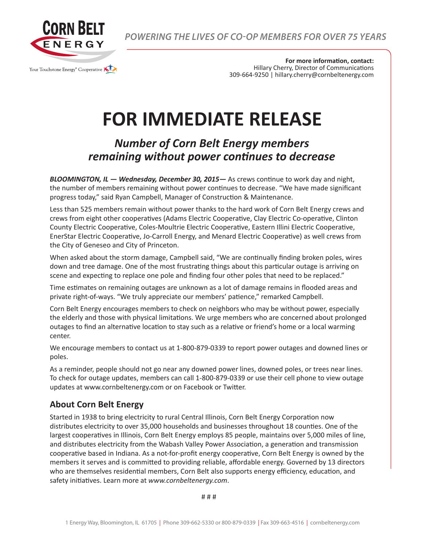

*POWERING THE LIVES OF CO-OP MEMBERS FOR OVER 75 YEARS*

**For more information, contact:** Hillary Cherry, Director of Communications 309-664-9250 | hillary.cherry@cornbeltenergy.com

## **FOR IMMEDIATE RELEASE**

## *Number of Corn Belt Energy members remaining without power continues to decrease*

*BLOOMINGTON, IL — Wednesday, December 30, 2015—* As crews continue to work day and night, the number of members remaining without power continues to decrease. "We have made significant progress today," said Ryan Campbell, Manager of Construction & Maintenance.

Less than 525 members remain without power thanks to the hard work of Corn Belt Energy crews and crews from eight other cooperatives (Adams Electric Cooperative, Clay Electric Co-operative, Clinton County Electric Cooperative, Coles-Moultrie Electric Cooperative, Eastern Illini Electric Cooperative, EnerStar Electric Cooperative, Jo-Carroll Energy, and Menard Electric Cooperative) as well crews from the City of Geneseo and City of Princeton.

When asked about the storm damage, Campbell said, "We are continually finding broken poles, wires down and tree damage. One of the most frustrating things about this particular outage is arriving on scene and expecting to replace one pole and finding four other poles that need to be replaced."

Time estimates on remaining outages are unknown as a lot of damage remains in flooded areas and private right-of-ways. "We truly appreciate our members' patience," remarked Campbell.

Corn Belt Energy encourages members to check on neighbors who may be without power, especially the elderly and those with physical limitations. We urge members who are concerned about prolonged outages to find an alternative location to stay such as a relative or friend's home or a local warming center.

We encourage members to contact us at 1-800-879-0339 to report power outages and downed lines or poles.

As a reminder, people should not go near any downed power lines, downed poles, or trees near lines. To check for outage updates, members can call 1-800-879-0339 or use their cell phone to view outage updates at www.cornbeltenergy.com or on Facebook or Twitter.

## **About Corn Belt Energy**

Started in 1938 to bring electricity to rural Central Illinois, Corn Belt Energy Corporation now distributes electricity to over 35,000 households and businesses throughout 18 counties. One of the largest cooperatives in Illinois, Corn Belt Energy employs 85 people, maintains over 5,000 miles of line, and distributes electricity from the Wabash Valley Power Association, a generation and transmission cooperative based in Indiana. As a not-for-profit energy cooperative, Corn Belt Energy is owned by the members it serves and is committed to providing reliable, affordable energy. Governed by 13 directors who are themselves residential members, Corn Belt also supports energy efficiency, education, and safety initiatives. Learn more at *www.cornbeltenergy.com*.